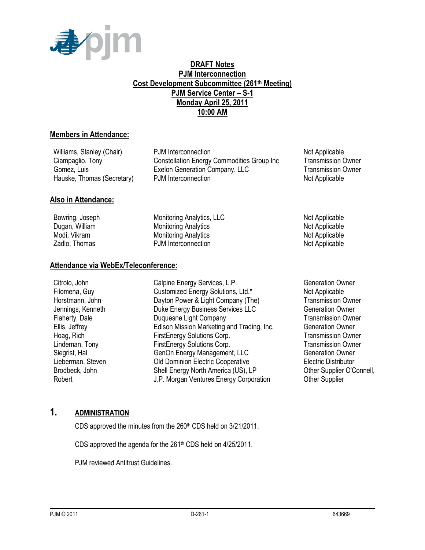

#### **DRAFT Notes PJM Interconnection Cost Development Subcommittee (261th Meeting) PJM Service Center – S-1 Monday April 25, 2011 10:00 AM**

#### **Members in Attendance:**

Williams, Stanley (Chair) **PJM Interconnection** Not Applicable Ciampaglio, Tony Constellation Energy Commodities Group Inc Transmission Owner Gomez, Luis **Exelon Generation Company, LLC** Transmission Owner Hauske, Thomas (Secretary) PJM Interconnection Not Applicable Not Applicable

#### **Also in Attendance:**

Bowring, Joseph Monitoring Analytics, LLC Not Applicable Not Applicable Dugan, William **Monitoring Analytics** Not Applicable Not Applicable Modi, Vikram **Monitoring Analytics** Not Applicable Not Applicable Zadlo, Thomas **PJM Interconnection** Not Applicable

#### **Attendance via WebEx/Teleconference:**

Citrolo, John Calpine Energy Services, L.P. Generation Owner Filomena, Guy **Customized Energy Solutions, Ltd.\*** Not Applicable Horstmann, John Dayton Power & Light Company (The) Transmission Owner Jennings, Kenneth **Duke Energy Business Services LLC** Generation Owner Flaherty, Dale **Duquesne Light Company Transmission Owner Transmission Owner** Ellis, Jeffrey Edison Mission Marketing and Trading, Inc. Generation Owner Hoag, Rich FirstEnergy Solutions Corp. Transmission Owner Lindeman, Tony **FirstEnergy Solutions Corp.** Transmission Owner Siegrist, Hal Genon Energy Management, LLC Generation Owner Lieberman, Steven Old Dominion Electric Cooperative Electric Distributor Brodbeck, John Shell Energy North America (US), LP Cher Supplier O'Connell, Robert **The Communist Corporation** J.P. Morgan Ventures Energy Corporation **Communist Communist Communist Communist** 

### **1. ADMINISTRATION**

CDS approved the minutes from the 260<sup>th</sup> CDS held on 3/21/2011.

CDS approved the agenda for the  $261<sup>th</sup>$  CDS held on  $4/25/2011$ .

PJM reviewed Antitrust Guidelines.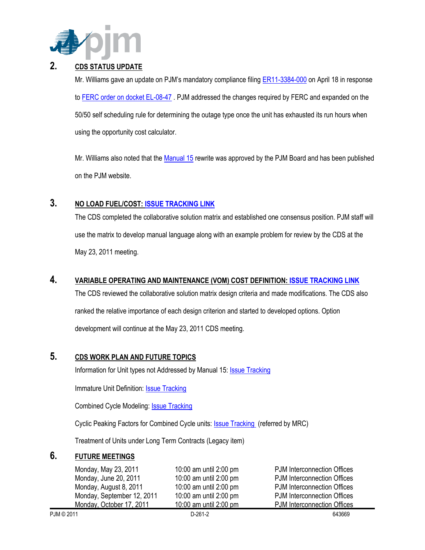

## **2. CDS STATUS UPDATE**

Mr. Williams gave an update on PJM's mandatory compliance filing **ER11-3384-000** on April 18 in response to [FERC order on docket EL-08-47](http://elibrary.ferc.gov/idmws/file_list.asp?accession_num=20110317-3012) . PJM addressed the changes required by FERC and expanded on the 50/50 self scheduling rule for determining the outage type once the unit has exhausted its run hours when using the opportunity cost calculator.

Mr. Williams also noted that the [Manual 15](http://www.pjm.com/~/media/documents/manuals/m15.ashx) rewrite was approved by the PJM Board and has been published on the PJM website.

# **3. NO LOAD FUEL/COST[: ISSUE TRACKING LINK](http://www.pjm.com/committees-and-groups/issue-tracking/issue-tracking-details.aspx?Issue=%7bB4390F49-FB83-4790-B1E7-89EF1844E073%7d)**

The CDS completed the collaborative solution matrix and established one consensus position. PJM staff will use the matrix to develop manual language along with an example problem for review by the CDS at the May 23, 2011 meeting.

# **4. VARIABLE OPERATING AND MAINTENANCE (VOM) COST DEFINITION: [ISSUE TRACKING LINK](http://www.pjm.com/committees-and-groups/issue-tracking/issue-tracking-details.aspx?Issue=%7b189C7210-9A23-4782-A5B5-634A6887CFE1%7d)**

The CDS reviewed the collaborative solution matrix design criteria and made modifications. The CDS also ranked the relative importance of each design criterion and started to developed options. Option development will continue at the May 23, 2011 CDS meeting.

### **5. CDS WORK PLAN AND FUTURE TOPICS**

Information for Unit types not Addressed by Manual 15: **Issue Tracking** 

Immature Unit Definition: [Issue Tracking](http://pjm.com/committees-and-groups/issue-tracking/issue-tracking-details.aspx?Issue=%7b510DC5A0-8F2D-46B1-8FA4-3D61DC10BA45%7d)

Combined Cycle Modeling: [Issue Tracking](http://pjm.com/committees-and-groups/issue-tracking/issue-tracking-details.aspx?Issue=%7bE5A783B1-FF7A-4A7F-B6CE-3CD2765836F9%7d) 

Cyclic Peaking Factors for Combined Cycle units: **ISSUE Tracking** (referred by MRC)

Treatment of Units under Long Term Contracts (Legacy item)

### **6. FUTURE MEETINGS**

| Monday, May 23, 2011       | 10:00 am until 2:00 pm | <b>PJM</b> Interconnection Offices |
|----------------------------|------------------------|------------------------------------|
| Monday, June 20, 2011      | 10:00 am until 2:00 pm | <b>PJM</b> Interconnection Offices |
| Monday, August 8, 2011     | 10:00 am until 2:00 pm | <b>PJM</b> Interconnection Offices |
| Monday, September 12, 2011 | 10:00 am until 2:00 pm | <b>PJM</b> Interconnection Offices |
| Monday, October 17, 2011   | 10:00 am until 2:00 pm | <b>PJM</b> Interconnection Offices |